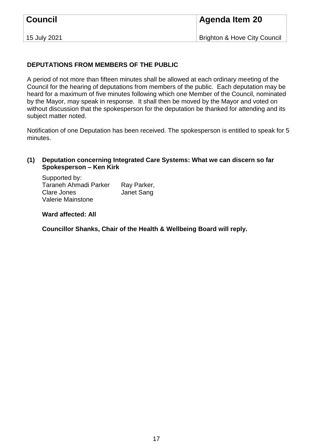| <b>Council</b> | <b>Agenda Item 20</b>                   |
|----------------|-----------------------------------------|
| 15 July 2021   | <b>Brighton &amp; Hove City Council</b> |

## **DEPUTATIONS FROM MEMBERS OF THE PUBLIC**

A period of not more than fifteen minutes shall be allowed at each ordinary meeting of the Council for the hearing of deputations from members of the public. Each deputation may be heard for a maximum of five minutes following which one Member of the Council, nominated by the Mayor, may speak in response. It shall then be moved by the Mayor and voted on without discussion that the spokesperson for the deputation be thanked for attending and its subject matter noted.

Notification of one Deputation has been received. The spokesperson is entitled to speak for 5 minutes.

## **(1) Deputation concerning Integrated Care Systems: What we can discern so far Spokesperson – Ken Kirk**

Supported by: Taraneh Ahmadi Parker Ray Parker, Clare Jones Janet Sang Valerie Mainstone

**Ward affected: All**

**Councillor Shanks, Chair of the Health & Wellbeing Board will reply.**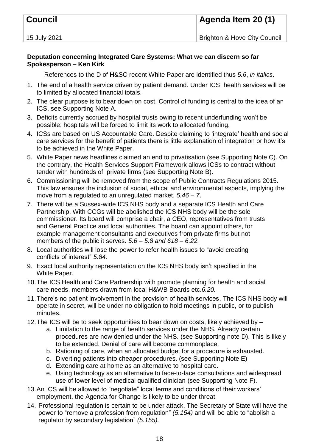| <b>Council</b> | Agenda Item 20 (1)                      |
|----------------|-----------------------------------------|
| 15 July 2021   | <b>Brighton &amp; Hove City Council</b> |

## **Deputation concerning Integrated Care Systems: What we can discern so far Spokesperson – Ken Kirk**

References to the D of H&SC recent White Paper are identified thus *5.6*, *in italics*.

- 1. The end of a health service driven by patient demand. Under ICS, health services will be to limited by allocated financial totals.
- 2. The clear purpose is to bear down on cost. Control of funding is central to the idea of an ICS, see Supporting Note A.
- 3. Deficits currently accrued by hospital trusts owing to recent underfunding won't be possible; hospitals will be forced to limit its work to allocated funding.
- 4. ICSs are based on US Accountable Care. Despite claiming to 'integrate' health and social care services for the benefit of patients there is little explanation of integration or how it's to be achieved in the White Paper.
- 5. White Paper news headlines claimed an end to privatisation (see Supporting Note C). On the contrary, the Health Services Support Framework allows ICSs to contract without tender with hundreds of private firms (see Supporting Note B).
- 6. Commissioning will be removed from the scope of Public Contracts Regulations 2015. This law ensures the inclusion of social, ethical and environmental aspects, implying the move from a regulated to an unregulated market. *5.46 – 7*.
- 7. There will be a Sussex-wide ICS NHS body and a separate ICS Health and Care Partnership. With CCGs will be abolished the ICS NHS body will be the sole commissioner. Its board will comprise a chair, a CEO, representatives from trusts and General Practice and local authorities. The board can appoint others, for example management consultants and executives from private firms but not members of the public it serves. *5.6 – 5.8 and 618 – 6.22.*
- 8. Local authorities will lose the power to refer health issues to "avoid creating conflicts of interest" *5.84.*
- 9. Exact local authority representation on the ICS NHS body isn't specified in the White Paper.
- 10.The ICS Health and Care Partnership with promote planning for health and social care needs, members drawn from local H&WB Boards etc.*6.20.*
- 11.There's no patient involvement in the provision of health services. The ICS NHS body will operate in secret, will be under no obligation to hold meetings in public, or to publish minutes.
- 12.The ICS will be to seek opportunities to bear down on costs, likely achieved by
	- a. Limitation to the range of health services under the NHS. Already certain procedures are now denied under the NHS. (see Supporting note D). This is likely to be extended. Denial of care will become commonplace.
	- b. Rationing of care, when an allocated budget for a procedure is exhausted.
	- c. Diverting patients into cheaper procedures. (see Supporting Note E)
	- d. Extending care at home as an alternative to hospital care.
	- e. Using technology as an alternative to face-to-face consultations and widespread use of lower level of medical qualified clinician (see Supporting Note F).
- 13.An ICS will be allowed to "negotiate" local terms and conditions of their workers' employment, the Agenda for Change is likely to be under threat.
- 14. Professional regulation is certain to be under attack. The Secretary of State will have the power to "remove a profession from regulation" *(5.154)* and will be able to "abolish a regulator by secondary legislation" *(5.155).*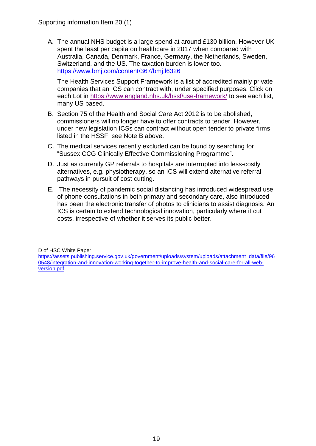A. The annual NHS budget is a large spend at around £130 billion. However UK spent the least per capita on healthcare in 2017 when compared with Australia, Canada, Denmark, France, Germany, the Netherlands, Sweden, Switzerland, and the US. The taxation burden is lower too. <https://www.bmj.com/content/367/bmj.l6326>

The Health Services Support Framework is a list of accredited mainly private companies that an ICS can contract with, under specified purposes. Click on each Lot in<https://www.england.nhs.uk/hssf/use-framework/> to see each list, many US based.

- B. Section 75 of the Health and Social Care Act 2012 is to be abolished, commissioners will no longer have to offer contracts to tender. However, under new legislation ICSs can contract without open tender to private firms listed in the HSSF, see Note B above.
- C. The medical services recently excluded can be found by searching for "Sussex CCG Clinically Effective Commissioning Programme".
- D. Just as currently GP referrals to hospitals are interrupted into less-costly alternatives, e.g. physiotherapy, so an ICS will extend alternative referral pathways in pursuit of cost cutting.
- E. The necessity of pandemic social distancing has introduced widespread use of phone consultations in both primary and secondary care, also introduced has been the electronic transfer of photos to clinicians to assist diagnosis. An ICS is certain to extend technological innovation, particularly where it cut costs, irrespective of whether it serves its public better.

D of HSC White Paper

[https://assets.publishing.service.gov.uk/government/uploads/system/uploads/attachment\\_data/file/96](https://assets.publishing.service.gov.uk/government/uploads/system/uploads/attachment_data/file/960548/integration-and-innovation-working-together-to-improve-health-and-social-care-for-all-web-version.pdf) [0548/integration-and-innovation-working-together-to-improve-health-and-social-care-for-all-web](https://assets.publishing.service.gov.uk/government/uploads/system/uploads/attachment_data/file/960548/integration-and-innovation-working-together-to-improve-health-and-social-care-for-all-web-version.pdf)[version.pdf](https://assets.publishing.service.gov.uk/government/uploads/system/uploads/attachment_data/file/960548/integration-and-innovation-working-together-to-improve-health-and-social-care-for-all-web-version.pdf)